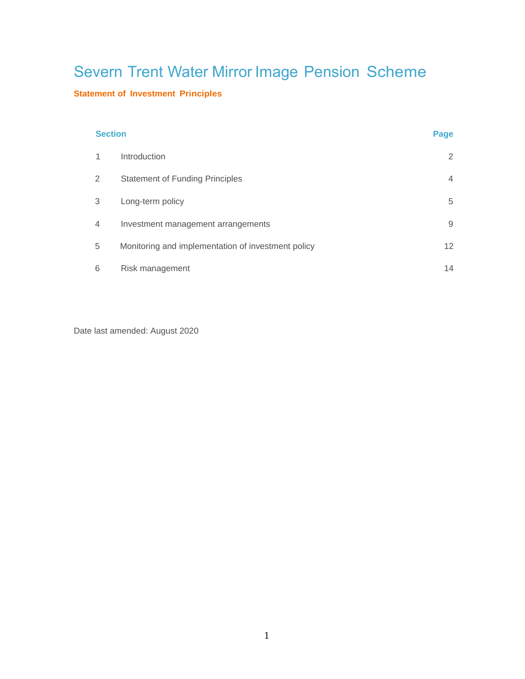# Severn Trent Water Mirror Image Pension Scheme

# **Statement of Investment Principles**

#### **Section Page 2012年10月11日 - Page 2012年10月11日 - Page 2012年10月11日 - Page 2012年10月11日 - Page**

| 1 | <b>Introduction</b>                                | 2              |
|---|----------------------------------------------------|----------------|
| 2 | <b>Statement of Funding Principles</b>             | $\overline{4}$ |
| 3 | Long-term policy                                   | 5              |
| 4 | Investment management arrangements                 | 9              |
| 5 | Monitoring and implementation of investment policy | 12             |
| 6 | Risk management                                    | 14             |

Date last amended: August 2020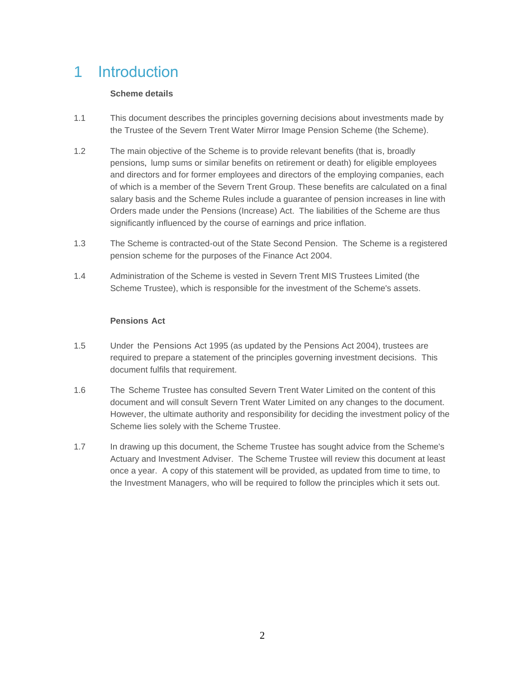# 1 Introduction

## **Scheme details**

- 1.1 This document describes the principles governing decisions about investments made by the Trustee of the Severn Trent Water Mirror Image Pension Scheme (the Scheme).
- 1.2 The main objective of the Scheme is to provide relevant benefits (that is, broadly pensions, lump sums or similar benefits on retirement or death) for eligible employees and directors and for former employees and directors of the employing companies, each of which is a member of the Severn Trent Group. These benefits are calculated on a final salary basis and the Scheme Rules include a guarantee of pension increases in line with Orders made under the Pensions (Increase) Act. The liabilities of the Scheme are thus significantly influenced by the course of earnings and price inflation.
- 1.3 The Scheme is contracted-out of the State Second Pension. The Scheme is a registered pension scheme for the purposes of the Finance Act 2004.
- 1.4 Administration of the Scheme is vested in Severn Trent MIS Trustees Limited (the Scheme Trustee), which is responsible for the investment of the Scheme's assets.

# **Pensions Act**

- 1.5 Under the Pensions Act 1995 (as updated by the Pensions Act 2004), trustees are required to prepare a statement of the principles governing investment decisions. This document fulfils that requirement.
- 1.6 The Scheme Trustee has consulted Severn Trent Water Limited on the content of this document and will consult Severn Trent Water Limited on any changes to the document. However, the ultimate authority and responsibility for deciding the investment policy of the Scheme lies solely with the Scheme Trustee.
- 1.7 In drawing up this document, the Scheme Trustee has sought advice from the Scheme's Actuary and Investment Adviser. The Scheme Trustee will review this document at least once a year. A copy of this statement will be provided, as updated from time to time, to the Investment Managers, who will be required to follow the principles which it sets out.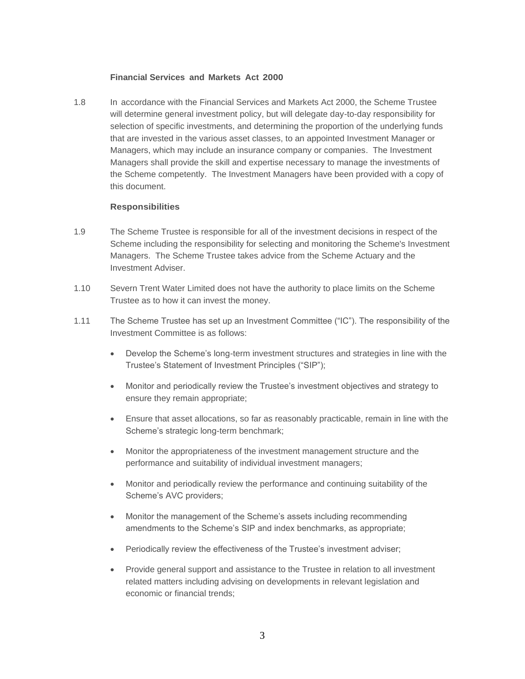#### **Financial Services and Markets Act 2000**

1.8 In accordance with the Financial Services and Markets Act 2000, the Scheme Trustee will determine general investment policy, but will delegate day-to-day responsibility for selection of specific investments, and determining the proportion of the underlying funds that are invested in the various asset classes, to an appointed Investment Manager or Managers, which may include an insurance company or companies. The Investment Managers shall provide the skill and expertise necessary to manage the investments of the Scheme competently. The Investment Managers have been provided with a copy of this document.

#### **Responsibilities**

- 1.9 The Scheme Trustee is responsible for all of the investment decisions in respect of the Scheme including the responsibility for selecting and monitoring the Scheme's Investment Managers. The Scheme Trustee takes advice from the Scheme Actuary and the Investment Adviser.
- 1.10 Severn Trent Water Limited does not have the authority to place limits on the Scheme Trustee as to how it can invest the money.
- 1.11 The Scheme Trustee has set up an Investment Committee ("IC"). The responsibility of the Investment Committee is as follows:
	- Develop the Scheme's long-term investment structures and strategies in line with the Trustee's Statement of Investment Principles ("SIP");
	- Monitor and periodically review the Trustee's investment objectives and strategy to ensure they remain appropriate;
	- Ensure that asset allocations, so far as reasonably practicable, remain in line with the Scheme's strategic long-term benchmark;
	- Monitor the appropriateness of the investment management structure and the performance and suitability of individual investment managers;
	- Monitor and periodically review the performance and continuing suitability of the Scheme's AVC providers;
	- Monitor the management of the Scheme's assets including recommending amendments to the Scheme's SIP and index benchmarks, as appropriate;
	- Periodically review the effectiveness of the Trustee's investment adviser;
	- Provide general support and assistance to the Trustee in relation to all investment related matters including advising on developments in relevant legislation and economic or financial trends;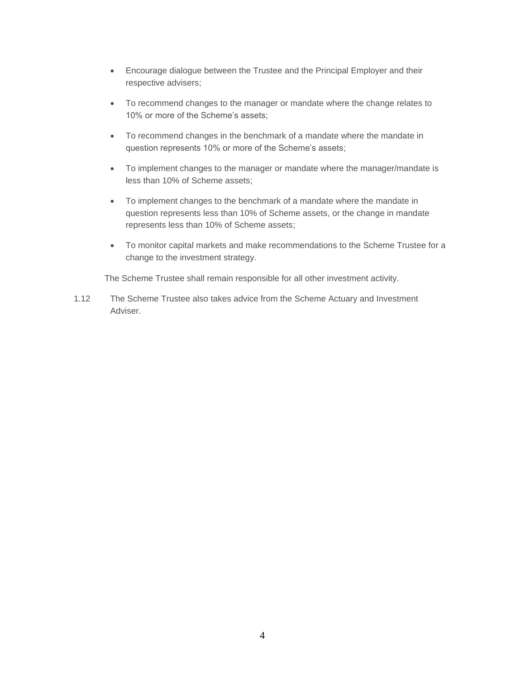- Encourage dialogue between the Trustee and the Principal Employer and their respective advisers;
- To recommend changes to the manager or mandate where the change relates to 10% or more of the Scheme's assets;
- To recommend changes in the benchmark of a mandate where the mandate in question represents 10% or more of the Scheme's assets;
- To implement changes to the manager or mandate where the manager/mandate is less than 10% of Scheme assets;
- To implement changes to the benchmark of a mandate where the mandate in question represents less than 10% of Scheme assets, or the change in mandate represents less than 10% of Scheme assets;
- To monitor capital markets and make recommendations to the Scheme Trustee for a change to the investment strategy.

The Scheme Trustee shall remain responsible for all other investment activity.

1.12 The Scheme Trustee also takes advice from the Scheme Actuary and Investment Adviser.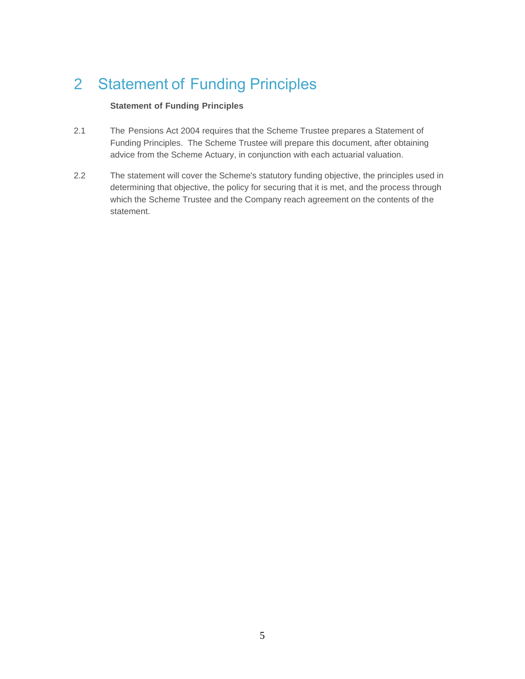# 2 Statement of Funding Principles

# **Statement of Funding Principles**

- 2.1 The Pensions Act 2004 requires that the Scheme Trustee prepares a Statement of Funding Principles. The Scheme Trustee will prepare this document, after obtaining advice from the Scheme Actuary, in conjunction with each actuarial valuation.
- 2.2 The statement will cover the Scheme's statutory funding objective, the principles used in determining that objective, the policy for securing that it is met, and the process through which the Scheme Trustee and the Company reach agreement on the contents of the statement.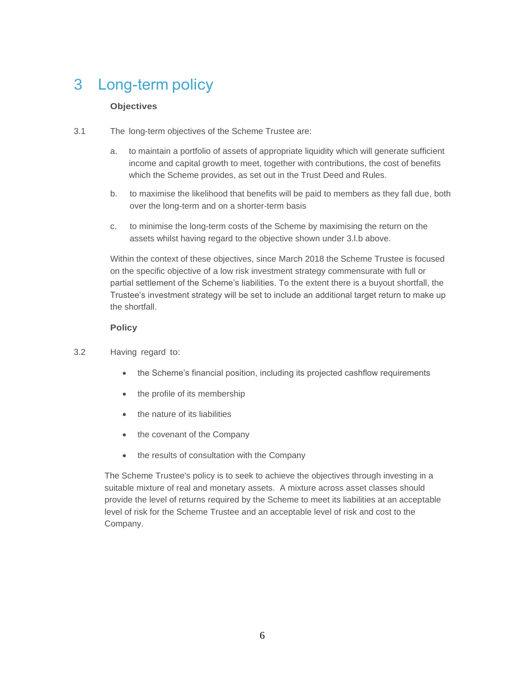# 3 Long-term policy

# **Objectives**

- 3.1 The long-term objectives of the Scheme Trustee are:
	- a. to maintain a portfolio of assets of appropriate liquidity which will generate sufficient income and capital growth to meet, together with contributions, the cost of benefits which the Scheme provides, as set out in the Trust Deed and Rules.
	- b. to maximise the likelihood that benefits will be paid to members as they fall due, both over the long-term and on a shorter-term basis
	- c. to minimise the long-term costs of the Scheme by maximising the return on the assets whilst having regard to the objective shown under 3.l.b above.

Within the context of these objectives, since March 2018 the Scheme Trustee is focused on the specific objective of a low risk investment strategy commensurate with full or partial settlement of the Scheme's liabilities. To the extent there is a buyout shortfall, the Trustee's investment strategy will be set to include an additional target return to make up the shortfall.

### **Policy**

- 3.2 Having regard to:
	- the Scheme's financial position, including its projected cashflow requirements
	- the profile of its membership
	- the nature of its liabilities
	- the covenant of the Company
	- the results of consultation with the Company

The Scheme Trustee's policy is to seek to achieve the objectives through investing in a suitable mixture of real and monetary assets. A mixture across asset classes should provide the level of returns required by the Scheme to meet its liabilities at an acceptable level of risk for the Scheme Trustee and an acceptable level of risk and cost to the Company.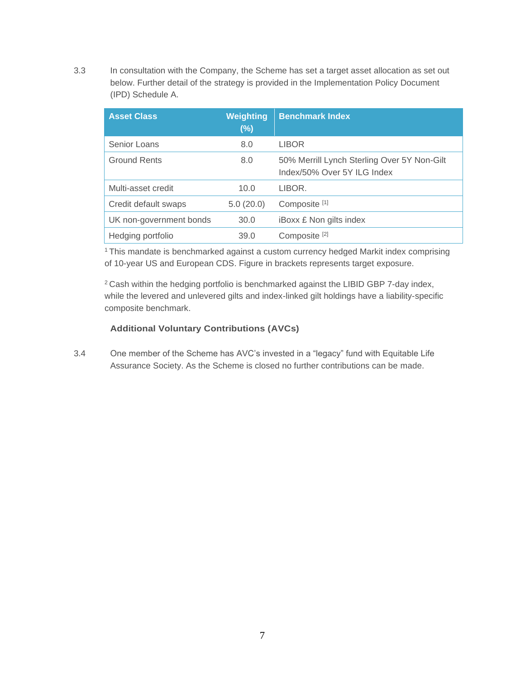3.3 In consultation with the Company, the Scheme has set a target asset allocation as set out below. Further detail of the strategy is provided in the Implementation Policy Document (IPD) Schedule A.

| <b>Asset Class</b>      | Weighting<br>$(\%)$ | <b>Benchmark Index</b>                                                     |
|-------------------------|---------------------|----------------------------------------------------------------------------|
| Senior Loans            | 8.0                 | <b>LIBOR</b>                                                               |
| <b>Ground Rents</b>     | 8.0                 | 50% Merrill Lynch Sterling Over 5Y Non-Gilt<br>Index/50% Over 5Y ILG Index |
| Multi-asset credit      | 10.0                | LIBOR.                                                                     |
| Credit default swaps    | 5.0(20.0)           | Composite <sup>[1]</sup>                                                   |
| UK non-government bonds | 30.0                | <b>iBoxx £ Non gilts index</b>                                             |
| Hedging portfolio       | 39.0                | Composite <sup>[2]</sup>                                                   |

<sup>1</sup> This mandate is benchmarked against a custom currency hedged Markit index comprising of 10-year US and European CDS. Figure in brackets represents target exposure.

<sup>2</sup> Cash within the hedging portfolio is benchmarked against the LIBID GBP 7-day index, while the levered and unlevered gilts and index-linked gilt holdings have a liability-specific composite benchmark.

#### **Additional Voluntary Contributions (AVCs)**

3.4 One member of the Scheme has AVC's invested in a "legacy" fund with Equitable Life Assurance Society. As the Scheme is closed no further contributions can be made.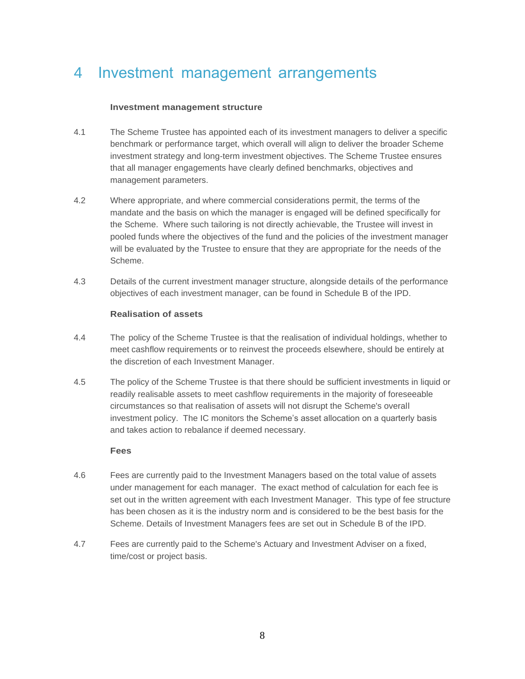# 4 Investment management arrangements

#### **Investment management structure**

- 4.1 The Scheme Trustee has appointed each of its investment managers to deliver a specific benchmark or performance target, which overall will align to deliver the broader Scheme investment strategy and long-term investment objectives. The Scheme Trustee ensures that all manager engagements have clearly defined benchmarks, objectives and management parameters.
- 4.2 Where appropriate, and where commercial considerations permit, the terms of the mandate and the basis on which the manager is engaged will be defined specifically for the Scheme. Where such tailoring is not directly achievable, the Trustee will invest in pooled funds where the objectives of the fund and the policies of the investment manager will be evaluated by the Trustee to ensure that they are appropriate for the needs of the Scheme.
- 4.3 Details of the current investment manager structure, alongside details of the performance objectives of each investment manager, can be found in Schedule B of the IPD.

#### **Realisation of assets**

- 4.4 The policy of the Scheme Trustee is that the realisation of individual holdings, whether to meet cashflow requirements or to reinvest the proceeds elsewhere, should be entirely at the discretion of each Investment Manager.
- 4.5 The policy of the Scheme Trustee is that there should be sufficient investments in liquid or readily realisable assets to meet cashflow requirements in the majority of foreseeable circumstances so that realisation of assets will not disrupt the Scheme's overall investment policy. The IC monitors the Scheme's asset allocation on a quarterly basis and takes action to rebalance if deemed necessary.

#### **Fees**

- 4.6 Fees are currently paid to the Investment Managers based on the total value of assets under management for each manager. The exact method of calculation for each fee is set out in the written agreement with each Investment Manager. This type of fee structure has been chosen as it is the industry norm and is considered to be the best basis for the Scheme. Details of Investment Managers fees are set out in Schedule B of the IPD.
- 4.7 Fees are currently paid to the Scheme's Actuary and Investment Adviser on a fixed, time/cost or project basis.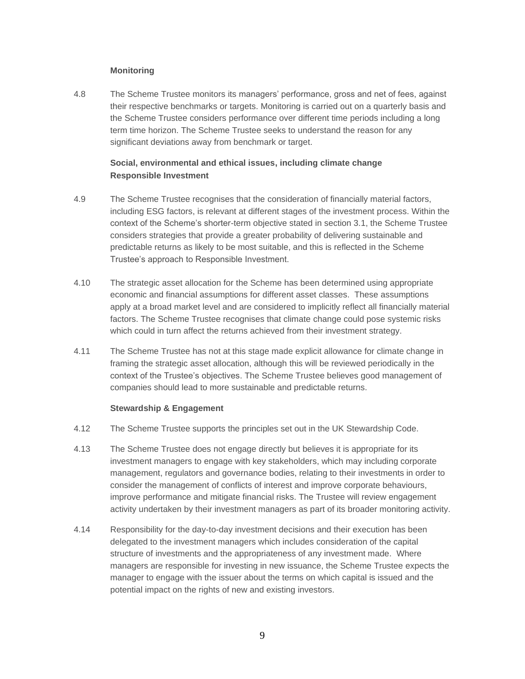### **Monitoring**

4.8 The Scheme Trustee monitors its managers' performance, gross and net of fees, against their respective benchmarks or targets. Monitoring is carried out on a quarterly basis and the Scheme Trustee considers performance over different time periods including a long term time horizon. The Scheme Trustee seeks to understand the reason for any significant deviations away from benchmark or target.

# **Social, environmental and ethical issues, including climate change Responsible Investment**

- 4.9 The Scheme Trustee recognises that the consideration of financially material factors, including ESG factors, is relevant at different stages of the investment process. Within the context of the Scheme's shorter-term objective stated in section 3.1, the Scheme Trustee considers strategies that provide a greater probability of delivering sustainable and predictable returns as likely to be most suitable, and this is reflected in the Scheme Trustee's approach to Responsible Investment.
- 4.10 The strategic asset allocation for the Scheme has been determined using appropriate economic and financial assumptions for different asset classes. These assumptions apply at a broad market level and are considered to implicitly reflect all financially material factors. The Scheme Trustee recognises that climate change could pose systemic risks which could in turn affect the returns achieved from their investment strategy.
- 4.11 The Scheme Trustee has not at this stage made explicit allowance for climate change in framing the strategic asset allocation, although this will be reviewed periodically in the context of the Trustee's objectives. The Scheme Trustee believes good management of companies should lead to more sustainable and predictable returns.

#### **Stewardship & Engagement**

- 4.12 The Scheme Trustee supports the principles set out in the UK Stewardship Code.
- 4.13 The Scheme Trustee does not engage directly but believes it is appropriate for its investment managers to engage with key stakeholders, which may including corporate management, regulators and governance bodies, relating to their investments in order to consider the management of conflicts of interest and improve corporate behaviours, improve performance and mitigate financial risks. The Trustee will review engagement activity undertaken by their investment managers as part of its broader monitoring activity.
- 4.14 Responsibility for the day-to-day investment decisions and their execution has been delegated to the investment managers which includes consideration of the capital structure of investments and the appropriateness of any investment made. Where managers are responsible for investing in new issuance, the Scheme Trustee expects the manager to engage with the issuer about the terms on which capital is issued and the potential impact on the rights of new and existing investors.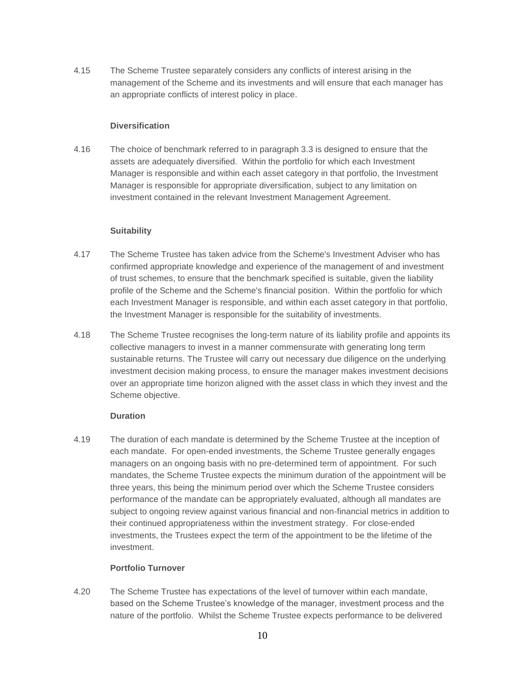4.15 The Scheme Trustee separately considers any conflicts of interest arising in the management of the Scheme and its investments and will ensure that each manager has an appropriate conflicts of interest policy in place.

#### **Diversification**

4.16 The choice of benchmark referred to in paragraph 3.3 is designed to ensure that the assets are adequately diversified. Within the portfolio for which each Investment Manager is responsible and within each asset category in that portfolio, the Investment Manager is responsible for appropriate diversification, subject to any limitation on investment contained in the relevant Investment Management Agreement.

#### **Suitability**

- 4.17 The Scheme Trustee has taken advice from the Scheme's Investment Adviser who has confirmed appropriate knowledge and experience of the management of and investment of trust schemes, to ensure that the benchmark specified is suitable, given the liability profile of the Scheme and the Scheme's financial position. Within the portfolio for which each Investment Manager is responsible, and within each asset category in that portfolio, the Investment Manager is responsible for the suitability of investments.
- 4.18 The Scheme Trustee recognises the long-term nature of its liability profile and appoints its collective managers to invest in a manner commensurate with generating long term sustainable returns. The Trustee will carry out necessary due diligence on the underlying investment decision making process, to ensure the manager makes investment decisions over an appropriate time horizon aligned with the asset class in which they invest and the Scheme objective.

#### **Duration**

4.19 The duration of each mandate is determined by the Scheme Trustee at the inception of each mandate. For open-ended investments, the Scheme Trustee generally engages managers on an ongoing basis with no pre-determined term of appointment. For such mandates, the Scheme Trustee expects the minimum duration of the appointment will be three years, this being the minimum period over which the Scheme Trustee considers performance of the mandate can be appropriately evaluated, although all mandates are subject to ongoing review against various financial and non-financial metrics in addition to their continued appropriateness within the investment strategy. For close-ended investments, the Trustees expect the term of the appointment to be the lifetime of the investment.

### **Portfolio Turnover**

4.20 The Scheme Trustee has expectations of the level of turnover within each mandate, based on the Scheme Trustee's knowledge of the manager, investment process and the nature of the portfolio. Whilst the Scheme Trustee expects performance to be delivered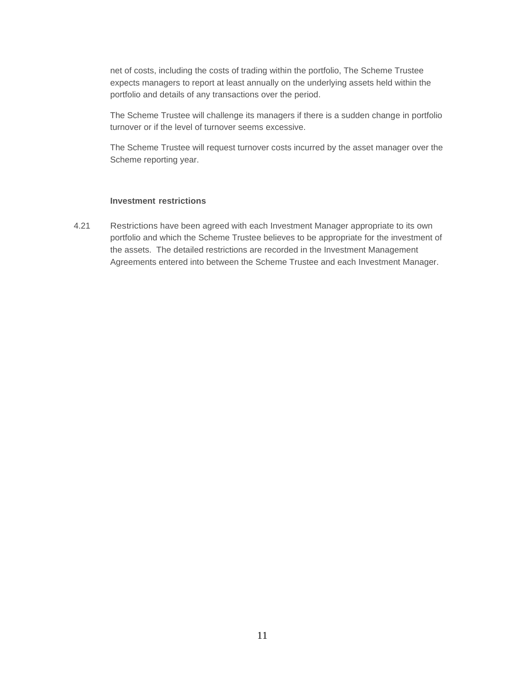net of costs, including the costs of trading within the portfolio, The Scheme Trustee expects managers to report at least annually on the underlying assets held within the portfolio and details of any transactions over the period.

The Scheme Trustee will challenge its managers if there is a sudden change in portfolio turnover or if the level of turnover seems excessive.

The Scheme Trustee will request turnover costs incurred by the asset manager over the Scheme reporting year.

#### **Investment restrictions**

4.21 Restrictions have been agreed with each Investment Manager appropriate to its own portfolio and which the Scheme Trustee believes to be appropriate for the investment of the assets. The detailed restrictions are recorded in the Investment Management Agreements entered into between the Scheme Trustee and each Investment Manager.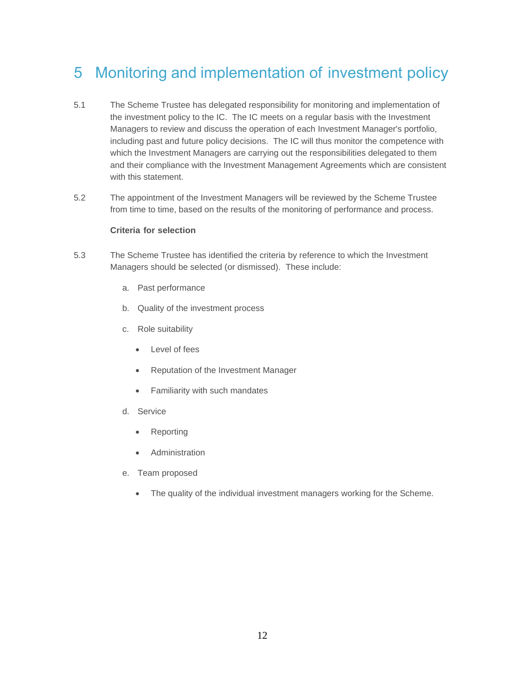# 5 Monitoring and implementation of investment policy

- 5.1 The Scheme Trustee has delegated responsibility for monitoring and implementation of the investment policy to the IC. The IC meets on a regular basis with the Investment Managers to review and discuss the operation of each Investment Manager's portfolio, including past and future policy decisions. The IC will thus monitor the competence with which the Investment Managers are carrying out the responsibilities delegated to them and their compliance with the Investment Management Agreements which are consistent with this statement.
- 5.2 The appointment of the Investment Managers will be reviewed by the Scheme Trustee from time to time, based on the results of the monitoring of performance and process.

#### **Criteria for selection**

- 5.3 The Scheme Trustee has identified the criteria by reference to which the Investment Managers should be selected (or dismissed). These include:
	- a. Past performance
	- b. Quality of the investment process
	- c. Role suitability
		- Level of fees
		- Reputation of the Investment Manager
		- Familiarity with such mandates
	- d. Service
		- Reporting
		- **Administration**
	- e. Team proposed
		- The quality of the individual investment managers working for the Scheme.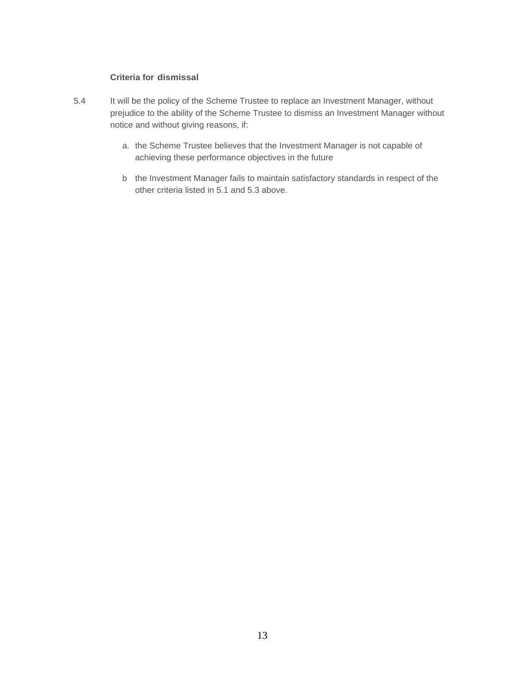# **Criteria for dismissal**

- 5.4 It will be the policy of the Scheme Trustee to replace an Investment Manager, without prejudice to the ability of the Scheme Trustee to dismiss an Investment Manager without notice and without giving reasons, if:
	- a. the Scheme Trustee believes that the Investment Manager is not capable of achieving these performance objectives in the future
	- b the Investment Manager fails to maintain satisfactory standards in respect of the other criteria listed in 5.1 and 5.3 above.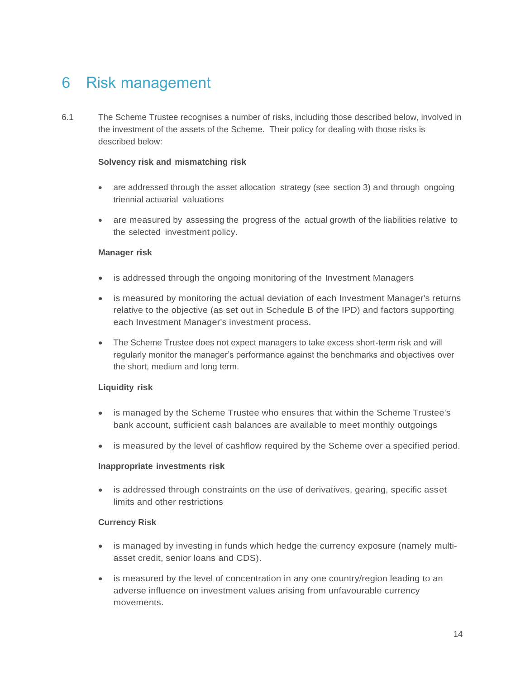# 6 Risk management

6.1 The Scheme Trustee recognises a number of risks, including those described below, involved in the investment of the assets of the Scheme. Their policy for dealing with those risks is described below:

### **Solvency risk and mismatching risk**

- are addressed through the asset allocation strategy (see section 3) and through ongoing triennial actuarial valuations
- are measured by assessing the progress of the actual growth of the liabilities relative to the selected investment policy.

#### **Manager risk**

- is addressed through the ongoing monitoring of the Investment Managers
- is measured by monitoring the actual deviation of each Investment Manager's returns relative to the objective (as set out in Schedule B of the IPD) and factors supporting each Investment Manager's investment process.
- The Scheme Trustee does not expect managers to take excess short-term risk and will regularly monitor the manager's performance against the benchmarks and objectives over the short, medium and long term.

#### **Liquidity risk**

- is managed by the Scheme Trustee who ensures that within the Scheme Trustee's bank account, sufficient cash balances are available to meet monthly outgoings
- is measured by the level of cashflow required by the Scheme over a specified period.

#### **Inappropriate investments risk**

• is addressed through constraints on the use of derivatives, gearing, specific asset limits and other restrictions

### **Currency Risk**

- is managed by investing in funds which hedge the currency exposure (namely multiasset credit, senior loans and CDS).
- is measured by the level of concentration in any one country/region leading to an adverse influence on investment values arising from unfavourable currency movements.